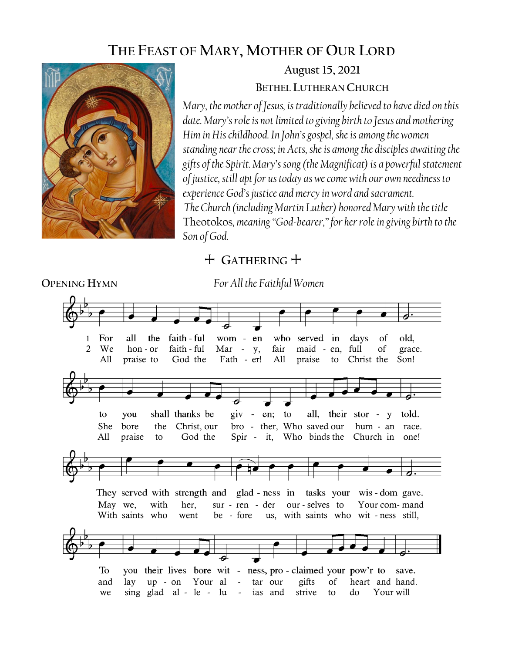# **THE FEAST OF MARY, MOTHER OF OUR LORD**



**August 15, 2021 BETHEL LUTHERAN CHURCH**

*Mary, the mother of Jesus, is traditionally believed to have died on this date. Mary's role is not limited to giving birth to Jesus and mothering Him in His childhood. In John's gospel, she is among the women standing near the cross; in Acts, she is among the disciples awaiting the gifts of the Spirit. Mary's song (the Magnificat) is a powerful statement of justice, still apt for us today as we come with our own neediness to experience God's justice and mercy in word and sacrament. The Church (including Martin Luther) honored Mary with the title*  Theotokos*, meaning "God-bearer," for her role in giving birth to the Son of God.*

## + **GATHERING** +

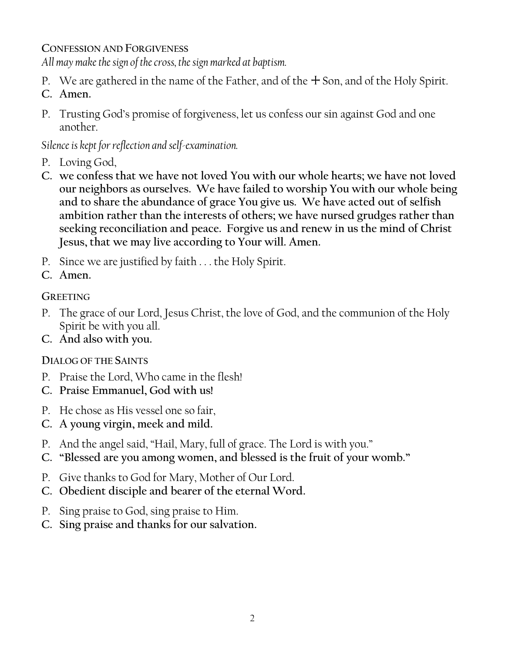**CONFESSION AND FORGIVENESS**

*All may make the sign of the cross, the sign marked at baptism.*

- P. We are gathered in the name of the Father, and of the  $+$  Son, and of the Holy Spirit.
- **C. Amen.**
- P. Trusting God's promise of forgiveness, let us confess our sin against God and one another.

*Silence is kept for reflection and self-examination.*

- P. Loving God,
- **C. we confess that we have not loved You with our whole hearts; we have not loved our neighbors as ourselves. We have failed to worship You with our whole being and to share the abundance of grace You give us. We have acted out of selfish ambition rather than the interests of others; we have nursed grudges rather than seeking reconciliation and peace. Forgive us and renew in us the mind of Christ Jesus, that we may live according to Your will. Amen.**
- P. Since we are justified by faith . . . the Holy Spirit.
- **C. Amen.**

## **GREETING**

- P. The grace of our Lord, Jesus Christ, the love of God, and the communion of the Holy Spirit be with you all.
- **C. And also with you.**

## **DIALOG OF THE SAINTS**

- P. Praise the Lord, Who came in the flesh!
- **C. Praise Emmanuel, God with us!**
- P. He chose as His vessel one so fair,
- **C. A young virgin, meek and mild.**
- P. And the angel said, "Hail, Mary, full of grace. The Lord is with you."
- **C. "Blessed are you among women, and blessed is the fruit of your womb."**
- P. Give thanks to God for Mary, Mother of Our Lord.
- **C. Obedient disciple and bearer of the eternal Word.**
- P. Sing praise to God, sing praise to Him.
- **C. Sing praise and thanks for our salvation.**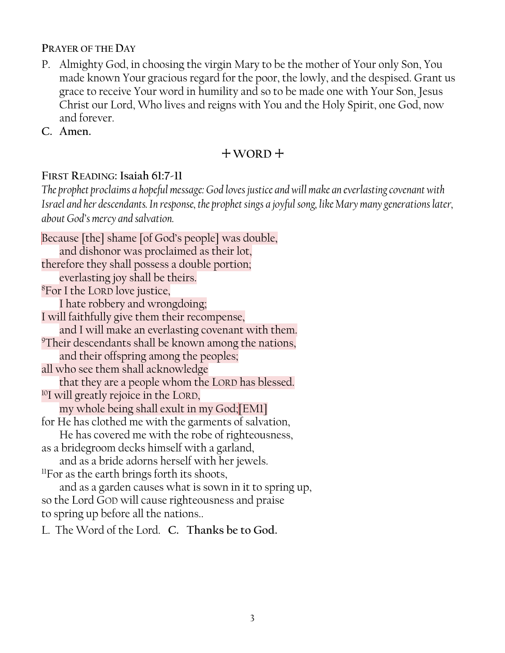### **PRAYER OF THE DAY**

- P. Almighty God, in choosing the virgin Mary to be the mother of Your only Son, You made known Your gracious regard for the poor, the lowly, and the despised. Grant us grace to receive Your word in humility and so to be made one with Your Son, Jesus Christ our Lord, Who lives and reigns with You and the Holy Spirit, one God, now and forever.
- **C. Amen.**

## + **WORD** +

### **FIRST READING: Isaiah 61:7-11**

*The prophet proclaims a hopeful message: God loves justice and will make an everlasting covenant with Israel and her descendants. In response, the prophet sings a joyful song, like Mary many generations later, about God's mercy and salvation.*

Because [the] shame [of God's people] was double, and dishonor was proclaimed as their lot, therefore they shall possess a double portion; everlasting joy shall be theirs. <sup>8</sup>For I the LORD love justice, I hate robbery and wrongdoing; I will faithfully give them their recompense, and I will make an everlasting covenant with them. <sup>9</sup>Their descendants shall be known among the nations, and their offspring among the peoples; all who see them shall acknowledge that they are a people whom the LORD has blessed. <sup>10</sup>I will greatly rejoice in the LORD, my whole being shall exult in my God;[EM1] for He has clothed me with the garments of salvation, He has covered me with the robe of righteousness, as a bridegroom decks himself with a garland, and as a bride adorns herself with her jewels.  $\rm{^{11}F}$ or as the earth brings forth its shoots, and as a garden causes what is sown in it to spring up, so the Lord GOD will cause righteousness and praise to spring up before all the nations..

L. The Word of the Lord. **C. Thanks be to God.**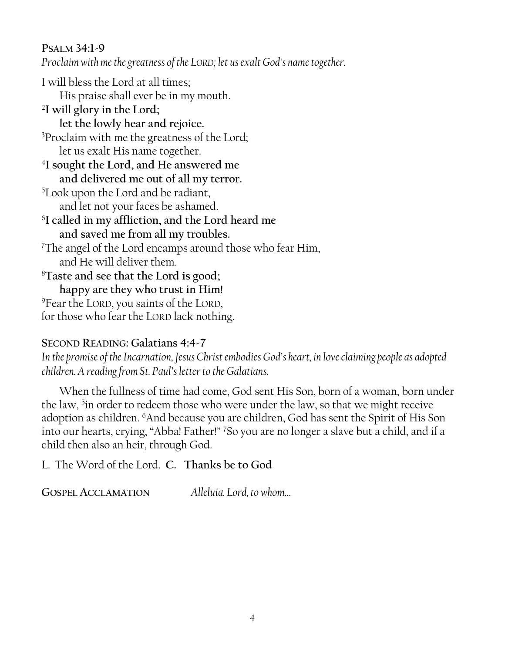## **PSALM 34:1-9**

*Proclaim with me the greatness of the LORD; let us exalt God's name together.*

I will bless the Lord at all times; His praise shall ever be in my mouth. 2 **I will glory in the Lord; let the lowly hear and rejoice.** <sup>3</sup>Proclaim with me the greatness of the Lord; let us exalt His name together. 4 **I sought the Lord, and He answered me and delivered me out of all my terror.**  <sup>5</sup>Look upon the Lord and be radiant, and let not your faces be ashamed. 6 **I called in my affliction, and the Lord heard me and saved me from all my troubles.** <sup>7</sup>The angel of the Lord encamps around those who fear Him, and He will deliver them. <sup>8</sup>**Taste and see that the Lord is good; happy are they who trust in Him!**  <sup>9</sup>Fear the LORD, you saints of the LORD, for those who fear the LORD lack nothing.

## **SECOND READING: Galatians 4:4-7**

*In the promise of the Incarnation, Jesus Christ embodies God's heart, in love claiming people as adopted children. A reading from St. Paul's letter to the Galatians.*

When the fullness of time had come, God sent His Son, born of a woman, born under the law, <sup>5</sup>in order to redeem those who were under the law, so that we might receive adoption as children. <sup>6</sup>And because you are children, God has sent the Spirit of His Son into our hearts, crying, "Abba! Father!" <sup>7</sup>So you are no longer a slave but a child, and if a child then also an heir, through God.

L. The Word of the Lord. **C. Thanks be to God**

**GOSPEL ACCLAMATION** *Alleluia. Lord, to whom…*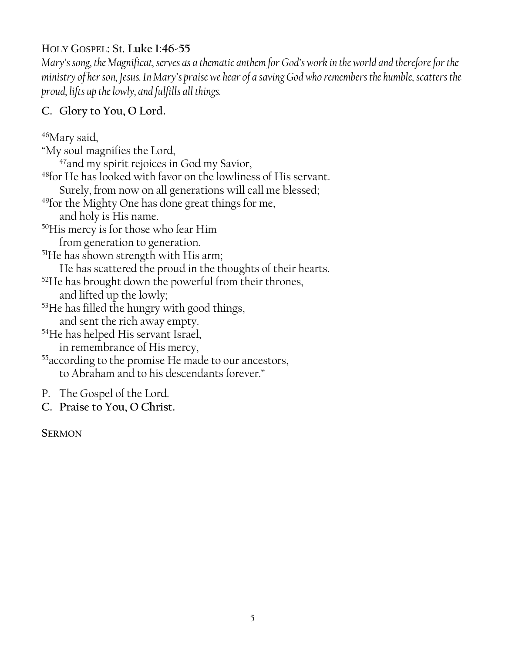## HOLY GOSPEL: St. **Luke 1:46-55**

*Mary's song, the Magnificat, serves as a thematic anthem for God's work in the world and therefore for the ministry of her son, Jesus. In Mary's praise we hear of a saving God who remembers the humble, scatters the proud, lifts up the lowly, and fulfills all things.*

## **C. Glory to You, O Lord.**

<sup>46</sup>Mary said, "My soul magnifies the Lord, <sup>47</sup>and my spirit rejoices in God my Savior, <sup>48</sup>for He has looked with favor on the lowliness of His servant. Surely, from now on all generations will call me blessed; <sup>49</sup>for the Mighty One has done great things for me, and holy is His name. <sup>50</sup>His mercy is for those who fear Him from generation to generation. <sup>51</sup>He has shown strength with His arm; He has scattered the proud in the thoughts of their hearts. <sup>52</sup>He has brought down the powerful from their thrones, and lifted up the lowly; <sup>53</sup>He has filled the hungry with good things, and sent the rich away empty. <sup>54</sup>He has helped His servant Israel, in remembrance of His mercy, <sup>55</sup>according to the promise He made to our ancestors, to Abraham and to his descendants forever." P. The Gospel of the Lord. **C. Praise to You, O Christ.**

**SERMON**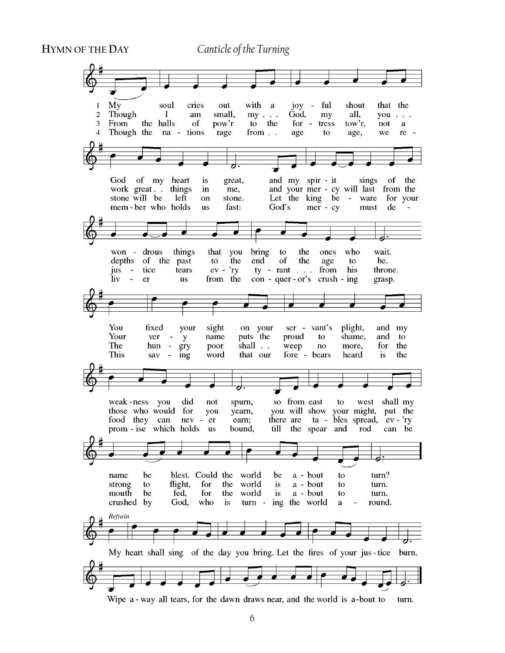**HYMN OF THE DAY** *Canticle of the Turning*

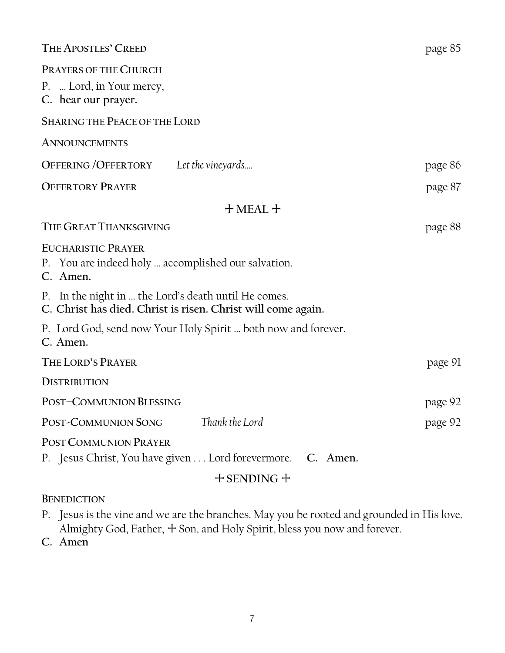| THE APOSTLES' CREED                                                                                                  | page 85 |
|----------------------------------------------------------------------------------------------------------------------|---------|
| PRAYERS OF THE CHURCH<br>P.  Lord, in Your mercy,<br>C. hear our prayer.                                             |         |
| <b>SHARING THE PEACE OF THE LORD</b>                                                                                 |         |
| <b>ANNOUNCEMENTS</b>                                                                                                 |         |
| <b>OFFERING/OFFERTORY</b><br>Let the vineyards                                                                       | page 86 |
| <b>OFFERTORY PRAYER</b>                                                                                              | page 87 |
| $+$ MEAL $+$                                                                                                         |         |
| THE GREAT THANKSGIVING                                                                                               | page 88 |
| <b>EUCHARISTIC PRAYER</b><br>P. You are indeed holy  accomplished our salvation.<br>C. Amen.                         |         |
| P. In the night in  the Lord's death until He comes.<br>C. Christ has died. Christ is risen. Christ will come again. |         |
| P. Lord God, send now Your Holy Spirit  both now and forever.<br>C. Amen.                                            |         |
| THE LORD'S PRAYER                                                                                                    | page 91 |
| <b>DISTRIBUTION</b>                                                                                                  |         |
| POST-COMMUNION BLESSING                                                                                              | page 92 |
| Thank the Lord<br>POST-COMMUNION SONG                                                                                | page 92 |
| <b>POST COMMUNION PRAYER</b><br>P. Jesus Christ, You have given Lord forevermore. C. Amen.                           |         |
|                                                                                                                      |         |

### + **SENDING** +

**BENEDICTION**

P. Jesus is the vine and we are the branches. May you be rooted and grounded in His love. Almighty God, Father,  $+$  Son, and Holy Spirit, bless you now and forever.

**C. Amen**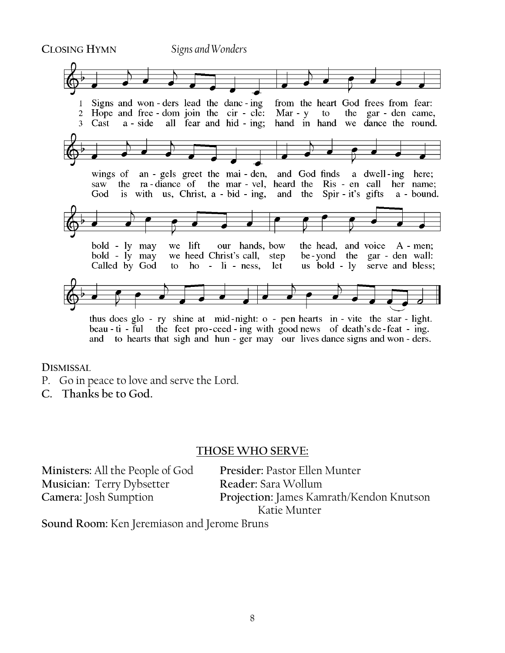**CLOSING HYMN** *Signs and Wonders* Signs and won-ders lead the danc-ing from the heart God frees from fear: 1 Hope and free - dom join the cir - cle:  $\overline{2}$ Mar -  $y$ to the gar - den came, 3 Cast  $a - side$ all fear and hid - ing; hand in hand we dance the round. an - gels greet the mai - den, and God finds a dwell-ing wings of here: the ra-diance of the mar-vel, heard the Ris-en call saw her name; God is with us, Christ,  $a - bid - ing$ , and the Spir - it's gifts a - bound. bold - ly may we lift our hands, bow the head, and voice A - men; we heed Christ's call, step  $bold - ly may$ be-yond the gar - den wall: Called by God to ho -  $\mathbf{li}$  - ness, let us bold - ly serve and bless; thus does glo - ry shine at mid-night: o - pen hearts in - vite the star - light. beau - ti - ful the feet pro-ceed - ing with good news of death's de-feat - ing. and to hearts that sight and hun - ger may our lives dance signs and won - ders.

**DISMISSAL** 

- P. Go in peace to love and serve the Lord.
- **C. Thanks be to God.**

#### **THOSE WHO SERVE:**

**Ministers:** All the People of God **Presider:** Pastor Ellen Munter **Musician:** Terry Dybsetter **Reader:** Sara Wollum

**Camera:** Josh Sumption **Projection:** James Kamrath/Kendon Knutson Katie Munter

**Sound Room:** Ken Jeremiason and Jerome Bruns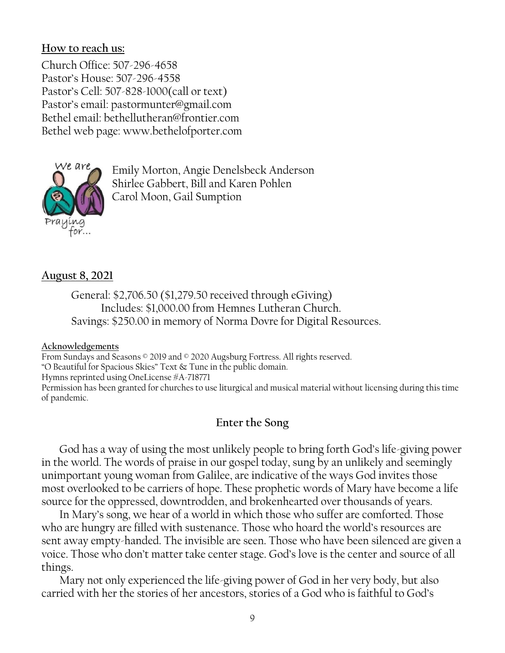#### **How to reach us:**

Church Office: 507-296-4658 Pastor's House: 507-296-4558 Pastor's Cell: 507-828-1000(call or text) Pastor's email: pastormunter@gmail.com Bethel email: bethellutheran@frontier.com Bethel web page: www.bethelofporter.com



Emily Morton, Angie Denelsbeck Anderson Shirlee Gabbert, Bill and Karen Pohlen Carol Moon, Gail Sumption

### **August 8, 2021**

 General: \$2,706.50 (\$1,279.50 received through eGiving) Includes: \$1,000.00 from Hemnes Lutheran Church. Savings: \$250.00 in memory of Norma Dovre for Digital Resources.

#### **Acknowledgements**

From Sundays and Seasons <sup>©</sup> 2019 and <sup>©</sup> 2020 Augsburg Fortress. All rights reserved. "O Beautiful for Spacious Skies" Text & Tune in the public domain. Hymns reprinted using OneLicense #A-718771 Permission has been granted for churches to use liturgical and musical material without licensing during this time of pandemic.

### **Enter the Song**

God has a way of using the most unlikely people to bring forth God's life-giving power in the world. The words of praise in our gospel today, sung by an unlikely and seemingly unimportant young woman from Galilee, are indicative of the ways God invites those most overlooked to be carriers of hope. These prophetic words of Mary have become a life source for the oppressed, downtrodden, and brokenhearted over thousands of years.

In Mary's song, we hear of a world in which those who suffer are comforted. Those who are hungry are filled with sustenance. Those who hoard the world's resources are sent away empty-handed. The invisible are seen. Those who have been silenced are given a voice. Those who don't matter take center stage. God's love is the center and source of all things.

Mary not only experienced the life-giving power of God in her very body, but also carried with her the stories of her ancestors, stories of a God who is faithful to God's